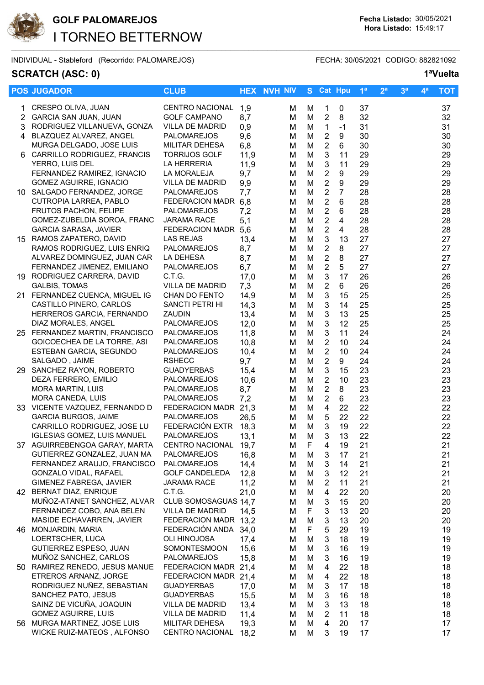

INDIVIDUAL - Stableford (Recorrido: PALOMAREJOS) FECHA: 30/05/2021 CODIGO: 882821092

## **SCRATCH (ASC: 0) 1ªVuelta**

|     | <b>POS JUGADOR</b>                 | <b>CLUB</b>            |      | <b>HEX NVH NIV</b> |   | S Cat Hpu               |                  | 1 <sup>a</sup> | 2 <sup>a</sup> | 3 <sup>a</sup> | 4 <sup>a</sup> | <b>TOT</b> |
|-----|------------------------------------|------------------------|------|--------------------|---|-------------------------|------------------|----------------|----------------|----------------|----------------|------------|
| 1   | CRESPO OLIVA, JUAN                 | CENTRO NACIONAL        | 1,9  | M                  | M | 1                       | 0                | 37             |                |                |                | 37         |
| 2   | GARCIA SAN JUAN, JUAN              | <b>GOLF CAMPANO</b>    | 8,7  | М                  | M | $\overline{c}$          | 8                | 32             |                |                |                | 32         |
| 3   | RODRIGUEZ VILLANUEVA, GONZA        | VILLA DE MADRID        | 0,9  | М                  | M | $\mathbf{1}$            | $-1$             | 31             |                |                |                | 31         |
|     | 4 BLAZQUEZ ALVAREZ, ANGEL          | <b>PALOMAREJOS</b>     | 9,6  |                    |   | $\overline{2}$          | 9                | 30             |                |                |                |            |
|     | MURGA DELGADO, JOSE LUIS           |                        |      | M                  | M |                         |                  | 30             |                |                |                | 30         |
|     |                                    | MILITAR DEHESA         | 6,8  | M                  | M | $\overline{2}$          | 6                |                |                |                |                | 30         |
|     | CARRILLO RODRIGUEZ, FRANCIS        | <b>TORRIJOS GOLF</b>   | 11,9 | M                  | M | $\sqrt{3}$              | 11               | 29             |                |                |                | 29         |
|     | YERRO, LUIS DEL                    | LA HERRERIA            | 11,9 | M                  | M | $\sqrt{3}$              | 11               | 29             |                |                |                | 29         |
|     | FERNANDEZ RAMIREZ, IGNACIO         | LA MORALEJA            | 9,7  | M                  | M | $\overline{\mathbf{c}}$ | $\boldsymbol{9}$ | 29             |                |                |                | 29         |
|     | <b>GOMEZ AGUIRRE, IGNACIO</b>      | <b>VILLA DE MADRID</b> | 9,9  | M                  | M | $\boldsymbol{2}$        | $\boldsymbol{9}$ | 29             |                |                |                | 29         |
|     | 10 SALGADO FERNANDEZ, JORGE        | PALOMAREJOS            | 7,7  | M                  | M | $\overline{c}$          | $\overline{7}$   | 28             |                |                |                | 28         |
|     | CUTROPIA LARREA, PABLO             | FEDERACION MADR        | 6,8  | M                  | M | $\overline{2}$          | $6\phantom{1}$   | 28             |                |                |                | 28         |
|     | <b>FRUTOS PACHON, FELIPE</b>       | <b>PALOMAREJOS</b>     | 7,2  | M                  | M | $\overline{c}$          | $\,6\,$          | 28             |                |                |                | 28         |
|     | GOMEZ-ZUBELDIA SOROA, FRANC        | <b>JARAMA RACE</b>     | 5,1  | M                  | M | $\overline{c}$          | $\overline{4}$   | 28             |                |                |                | 28         |
|     | <b>GARCIA SARASA, JAVIER</b>       | FEDERACION MADR 5,6    |      | M                  | M | $\overline{c}$          | $\overline{4}$   | 28             |                |                |                | 28         |
|     | 15 RAMOS ZAPATERO, DAVID           | <b>LAS REJAS</b>       | 13,4 | M                  | M | $\sqrt{3}$              | 13               | 27             |                |                |                | 27         |
|     | RAMOS RODRIGUEZ, LUIS ENRIQ        | <b>PALOMAREJOS</b>     | 8,7  | M                  | M | $\overline{2}$          | 8                | 27             |                |                |                | 27         |
|     | ALVAREZ DOMINGUEZ, JUAN CAR        | LA DEHESA              | 8,7  | M                  | M | $\overline{2}$          | 8                | 27             |                |                |                | 27         |
|     | FERNANDEZ JIMENEZ, EMILIANO        | PALOMAREJOS            | 6,7  | M                  | M | $\boldsymbol{2}$        | 5                | 27             |                |                |                | 27         |
|     | 19 RODRIGUEZ CARRERA, DAVID        | C.T.G.                 | 17,0 | M                  | M | $\mathbf{3}$            | 17               | 26             |                |                |                | 26         |
|     | <b>GALBIS, TOMAS</b>               | <b>VILLA DE MADRID</b> | 7,3  | M                  | M | $\overline{2}$          | 6                | 26             |                |                |                | 26         |
|     | 21 FERNANDEZ CUENCA, MIGUEL IG     | CHAN DO FENTO          | 14,9 | M                  | M | $\sqrt{3}$              | 15               | 25             |                |                |                | 25         |
|     | CASTILLO PINERO, CARLOS            | SANCTI PETRI HI        | 14,3 | M                  | M | $\sqrt{3}$              | 14               | 25             |                |                |                | 25         |
|     | HERREROS GARCIA, FERNANDO          | ZAUDIN                 | 13,4 | M                  | M | $\sqrt{3}$              | 13               | 25             |                |                |                | 25         |
|     | DIAZ MORALES, ANGEL                | PALOMAREJOS            | 12,0 | M                  | M | $\mathbf{3}$            | 12               | 25             |                |                |                | 25         |
|     | 25 FERNANDEZ MARTIN, FRANCISCO     | PALOMAREJOS            | 11,8 | M                  | M | $\sqrt{3}$              | 11               | 24             |                |                |                | 24         |
|     | GOICOECHEA DE LA TORRE, ASI        | PALOMAREJOS            | 10,8 | M                  | M | $\boldsymbol{2}$        | 10               | 24             |                |                |                | 24         |
|     | ESTEBAN GARCIA, SEGUNDO            | <b>PALOMAREJOS</b>     | 10,4 | м                  | M | $\overline{2}$          | 10               | 24             |                |                |                | 24         |
|     | SALGADO, JAIME                     | <b>RSHECC</b>          | 9,7  | M                  | M | $\overline{2}$          | 9                | 24             |                |                |                | 24         |
|     | 29 SANCHEZ RAYON, ROBERTO          | <b>GUADYERBAS</b>      | 15,4 | M                  | M | 3                       | 15               | 23             |                |                |                | 23         |
|     | DEZA FERRERO, EMILIO               | PALOMAREJOS            | 10,6 | M                  | M | $\overline{2}$          | 10               | 23             |                |                |                | 23         |
|     | <b>MORA MARTIN, LUIS</b>           | PALOMAREJOS            | 8,7  | M                  | M | $\overline{2}$          | 8                | 23             |                |                |                | 23         |
|     | MORA CANEDA, LUIS                  | PALOMAREJOS            | 7,2  | M                  | M | $\overline{c}$          | 6                | 23             |                |                |                | 23         |
|     | 33 VICENTE VAZQUEZ, FERNANDO D     | FEDERACION MADR        | 21,3 | M                  | M | $\overline{4}$          | 22               | 22             |                |                |                | 22         |
|     | <b>GARCIA BURGOS, JAIME</b>        | PALOMAREJOS            | 26,5 | M                  | M | $\sqrt{5}$              | 22               | 22             |                |                |                | 22         |
|     | CARRILLO RODRIGUEZ, JOSE LU        | FEDERACIÓN EXTR        | 18,3 | M                  | M | $\sqrt{3}$              | 19               | 22             |                |                |                | 22         |
|     | <b>IGLESIAS GOMEZ, LUIS MANUEL</b> | PALOMAREJOS            | 13,1 | M                  | M | $\mathbf{3}$            | 13               | 22             |                |                |                | 22         |
|     | 37 AGUIRREBENGOA GARAY, MARTA      | CENTRO NACIONAL        | 19,7 | M                  | F | 4                       | 19               | 21             |                |                |                | 21         |
|     | GUTIERREZ GONZALEZ, JUAN MA        | PALOMAREJOS            | 16,8 | M                  | M | 3                       | 17               | 21             |                |                |                | 21         |
|     | FERNANDEZ ARAUJO, FRANCISCO        | PALOMAREJOS            | 14,4 | M                  | M | 3                       | 14               | 21             |                |                |                | 21         |
|     | GONZALO VIDAL, RAFAEL              | <b>GOLF CANDELEDA</b>  | 12,8 | М                  | M | 3                       | 12               | 21             |                |                |                | 21         |
|     | GIMENEZ FABREGA, JAVIER            | <b>JARAMA RACE</b>     | 11,2 | M                  | M | $\overline{2}$          | 11               | 21             |                |                |                | 21         |
|     | 42 BERNAT DIAZ, ENRIQUE            | C.T.G.                 | 21,0 | M                  | M | 4                       | 22               | 20             |                |                |                | 20         |
|     | MUÑOZ-ATANET SANCHEZ, ALVAR        | CLUB SOMOSAGUAS 14,7   |      | M                  | M | 3                       | 15               | 20             |                |                |                | 20         |
|     | FERNANDEZ COBO, ANA BELEN          | VILLA DE MADRID        | 14,5 | M                  | F | 3                       | 13               | 20             |                |                |                | 20         |
|     | MASIDE ECHAVARREN, JAVIER          | FEDERACION MADR 13,2   |      | м                  | M | 3                       | 13               | 20             |                |                |                | 20         |
|     | 46 MONJARDIN, MARIA                | FEDERACIÓN ANDA        | 34,0 | M                  | F | 5                       | 29               | 19             |                |                |                | 19         |
|     | LOERTSCHER, LUCA                   | <b>OLI HINOJOSA</b>    | 17,4 | M                  | M | $\sqrt{3}$              | 18               | 19             |                |                |                | 19         |
|     | GUTIERREZ ESPESO, JUAN             | SOMONTESMOON           | 15,6 | M                  | M | $\sqrt{3}$              | 16               | 19             |                |                |                | 19         |
|     | MUÑOZ SANCHEZ, CARLOS              | PALOMAREJOS            | 15,8 | M                  | M | 3                       | 16               | 19             |                |                |                | 19         |
|     | 50 RAMIREZ RENEDO, JESUS MANUE     | FEDERACION MADR 21,4   |      | M                  | M | $\overline{4}$          | 22               | 18             |                |                |                | 18         |
|     | ETREROS ARNANZ, JORGE              | FEDERACION MADR 21,4   |      | M                  | M | $\overline{4}$          | 22               | 18             |                |                |                | 18         |
|     | RODRIGUEZ NUÑEZ, SEBASTIAN         | <b>GUADYERBAS</b>      | 17,0 | M                  | M | 3                       | 17               | 18             |                |                |                | 18         |
|     | SANCHEZ PATO, JESUS                | <b>GUADYERBAS</b>      | 15,5 | М                  | M | 3                       | 16               | 18             |                |                |                | 18         |
|     | SAINZ DE VICUÑA, JOAQUIN           | VILLA DE MADRID        | 13,4 | M                  | M | 3                       | 13               | 18             |                |                |                | 18         |
|     | <b>GOMEZ AGUIRRE, LUIS</b>         | VILLA DE MADRID        | 11,4 | M                  | M | $\overline{2}$          | 11               | 18             |                |                |                | 18         |
| 56. | MURGA MARTINEZ, JOSE LUIS          | MILITAR DEHESA         | 19,3 | M                  | M | 4                       | 20               | 17             |                |                |                | 17         |
|     | WICKE RUIZ-MATEOS, ALFONSO         | <b>CENTRO NACIONAL</b> | 18,2 | M                  | M | 3                       | 19               | 17             |                |                |                | 17         |